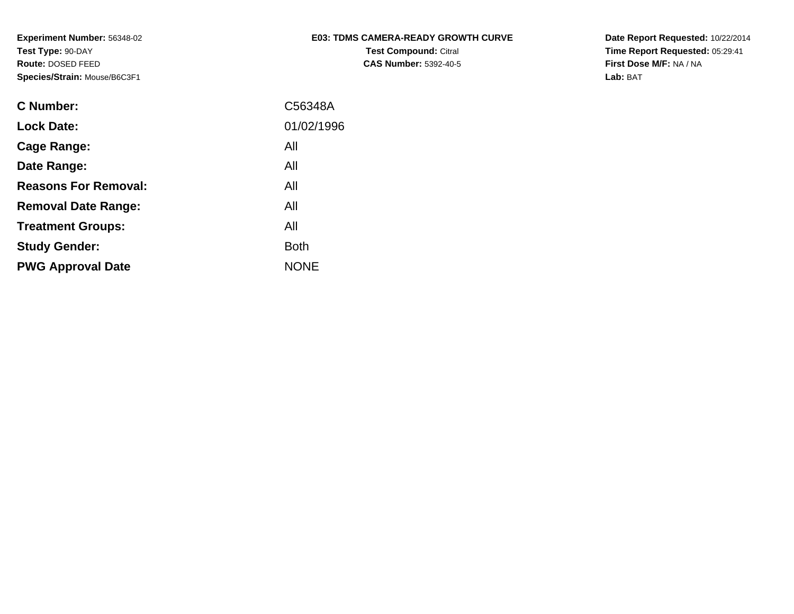| <b>E03: TDMS CAMERA-READY GROWTH CURVE</b> |
|--------------------------------------------|
| <b>Test Compound: Citral</b>               |
| <b>CAS Number: 5392-40-5</b>               |

**Date Report Requested:** 10/22/2014 **Time Report Requested:** 05:29:41**First Dose M/F:** NA / NA**Lab:** BAT

| <b>C</b> Number:            | C56348A     |
|-----------------------------|-------------|
| <b>Lock Date:</b>           | 01/02/1996  |
| Cage Range:                 | All         |
| Date Range:                 | All         |
| <b>Reasons For Removal:</b> | All         |
| <b>Removal Date Range:</b>  | All         |
| <b>Treatment Groups:</b>    | All         |
| <b>Study Gender:</b>        | <b>Both</b> |
| <b>PWG Approval Date</b>    | <b>NONE</b> |
|                             |             |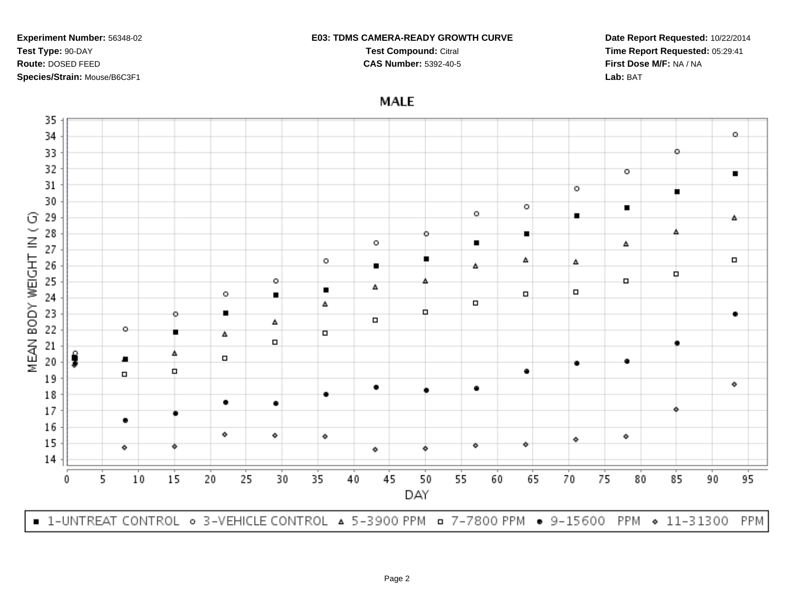## **E03: TDMS CAMERA-READY GROWTH CURVE**

**Test Compound:** Citral **CAS Number:** 5392-40-5

**Date Report Requested:** 10/22/2014**Time Report Requested:** 05:29:41**First Dose M/F:** NA / NA**Lab:** BAT

**MALE** 

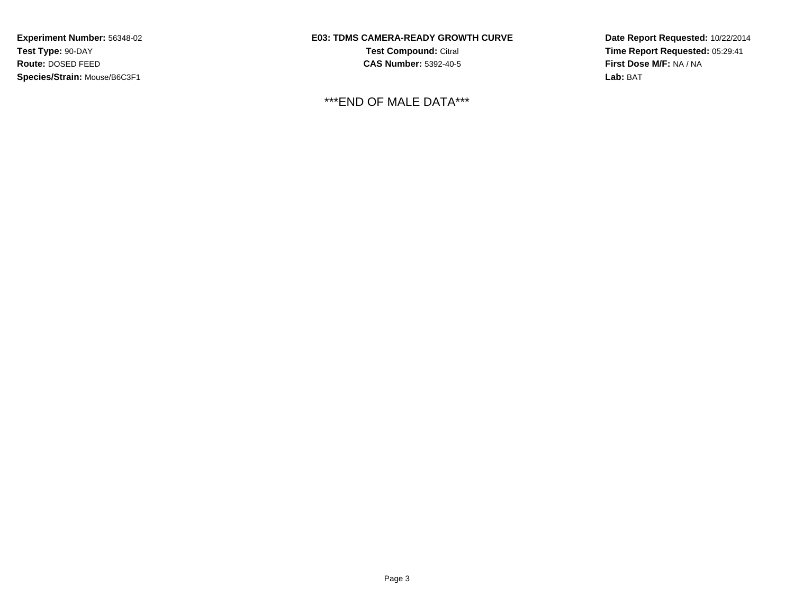**E03: TDMS CAMERA-READY GROWTH CURVETest Compound:** Citral **CAS Number:** 5392-40-5

\*\*\*END OF MALE DATA\*\*\*

**Date Report Requested:** 10/22/2014**Time Report Requested:** 05:29:41**First Dose M/F:** NA / NA**Lab:** BAT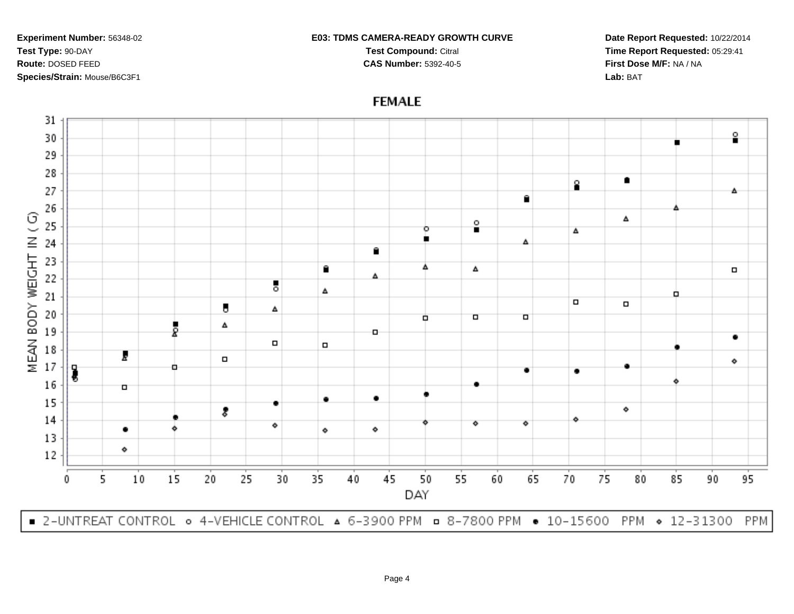## **E03: TDMS CAMERA-READY GROWTH CURVE**

**Test Compound:** Citral **CAS Number:** 5392-40-5

**Date Report Requested:** 10/22/2014**Time Report Requested:** 05:29:41**First Dose M/F:** NA / NA**Lab:** BAT

## **FEMALE**